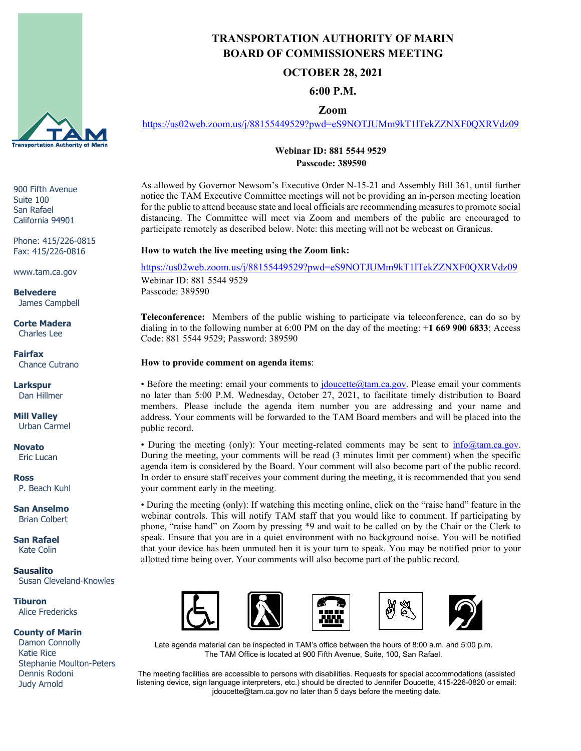

900 Fifth Avenue Suite 100 San Rafael California 94901

Phone: 415/226-0815 Fax: 415/226-0816

www.tam.ca.gov

**Belvedere** James Campbell

#### **Corte Madera** Charles Lee

**Fairfax** Chance Cutrano

**Larkspur** Dan Hillmer

**Mill Valley** Urban Carmel

**Novato** Eric Lucan

**Ross** P. Beach Kuhl

**San Anselmo** Brian Colbert

**San Rafael** Kate Colin

**Sausalito** Susan Cleveland-Knowles

**Tiburon** Alice Fredericks

#### **County of Marin**

 Damon Connolly Katie Rice Stephanie Moulton-Peters Dennis Rodoni Judy Arnold

# **TRANSPORTATION AUTHORITY OF MARIN BOARD OF COMMISSIONERS MEETING**

## **OCTOBER 28, 2021**

## **6:00 P.M.**

## **Zoom**

<https://us02web.zoom.us/j/88155449529?pwd=eS9NOTJUMm9kT1lTekZZNXF0QXRVdz09>

### **Webinar ID: 881 5544 9529 Passcode: 389590**

As allowed by Governor Newsom's Executive Order N-15-21 and Assembly Bill 361, until further notice the TAM Executive Committee meetings will not be providing an in-person meeting location for the public to attend because state and local officials are recommending measures to promote social distancing. The Committee will meet via Zoom and members of the public are encouraged to participate remotely as described below. Note: this meeting will not be webcast on Granicus.

#### **How to watch the live meeting using the Zoom link:**

<https://us02web.zoom.us/j/88155449529?pwd=eS9NOTJUMm9kT1lTekZZNXF0QXRVdz09> Webinar ID: 881 5544 9529 Passcode: 389590

**Teleconference:** Members of the public wishing to participate via teleconference, can do so by dialing in to the following number at 6:00 PM on the day of the meeting: +**1 669 900 6833**; Access Code: 881 5544 9529; Password: 389590

#### **How to provide comment on agenda items**:

• Before the meeting: email your comments to *jdoucette@tam.ca.gov*. Please email your comments no later than 5:00 P.M. Wednesday, October 27, 2021, to facilitate timely distribution to Board members. Please include the agenda item number you are addressing and your name and address. Your comments will be forwarded to the TAM Board members and will be placed into the public record.

• During the meeting (only): Your meeting-related comments may be sent to  $\infty$  molo@tam.ca.gov. During the meeting, your comments will be read (3 minutes limit per comment) when the specific agenda item is considered by the Board. Your comment will also become part of the public record. In order to ensure staff receives your comment during the meeting, it is recommended that you send your comment early in the meeting.

• During the meeting (only): If watching this meeting online, click on the "raise hand" feature in the webinar controls. This will notify TAM staff that you would like to comment. If participating by phone, "raise hand" on Zoom by pressing \*9 and wait to be called on by the Chair or the Clerk to speak. Ensure that you are in a quiet environment with no background noise. You will be notified that your device has been unmuted hen it is your turn to speak. You may be notified prior to your allotted time being over. Your comments will also become part of the public record.



Late agenda material can be inspected in TAM's office between the hours of 8:00 a.m. and 5:00 p.m. The TAM Office is located at 900 Fifth Avenue, Suite, 100, San Rafael.

The meeting facilities are accessible to persons with disabilities. Requests for special accommodations (assisted listening device, sign language interpreters, etc.) should be directed to Jennifer Doucette, 415-226-0820 or email: jdoucette@tam.ca.gov no later than 5 days before the meeting date.